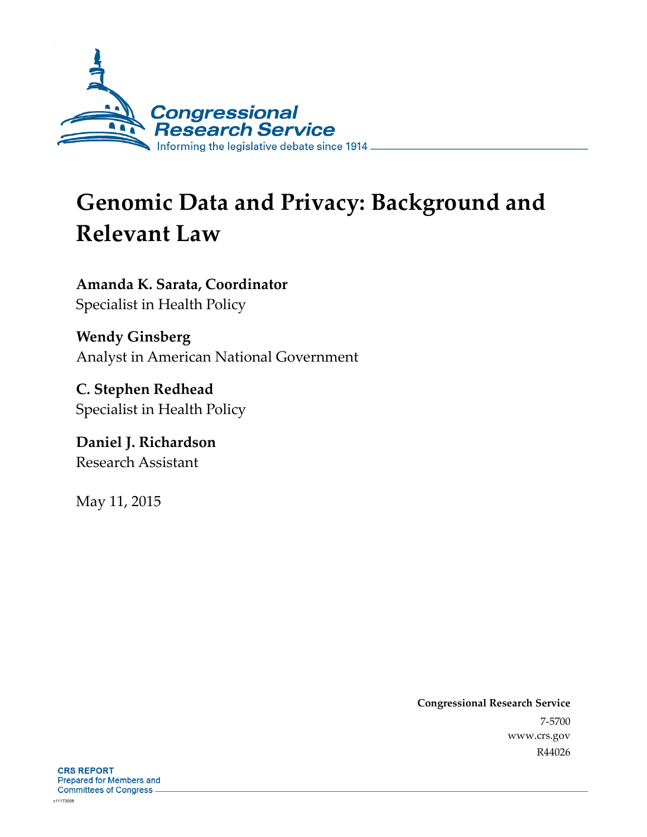

# **Genomic Data and Privacy: Background and Relevant Law**

**Amanda K. Sarata, Coordinator**  Specialist in Health Policy

**Wendy Ginsberg**  Analyst in American National Government

**C. Stephen Redhead**  Specialist in Health Policy

**Daniel J. Richardson**  Research Assistant

May 11, 2015

**Congressional Research Service**  7-5700 www.crs.gov R44026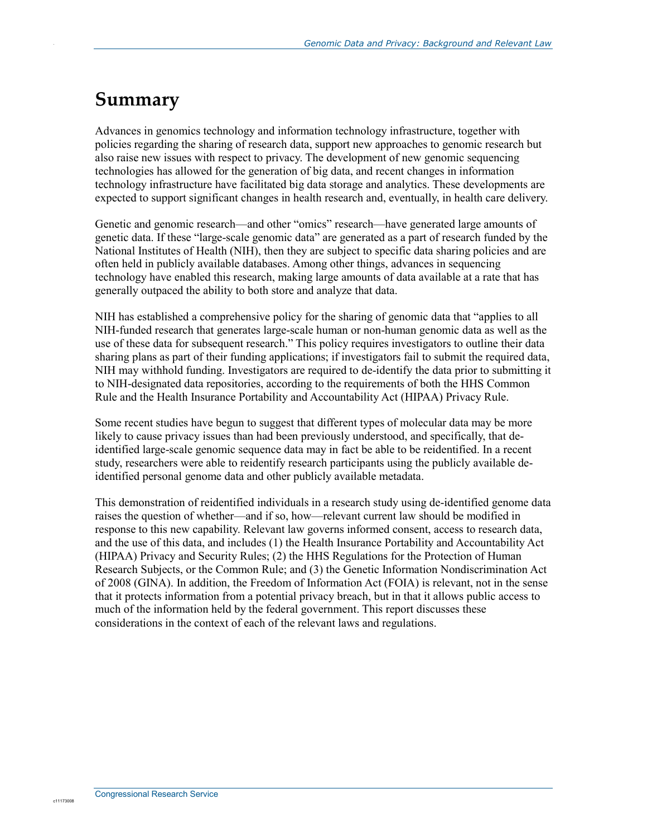### **Summary**

.

Advances in genomics technology and information technology infrastructure, together with policies regarding the sharing of research data, support new approaches to genomic research but also raise new issues with respect to privacy. The development of new genomic sequencing technologies has allowed for the generation of big data, and recent changes in information technology infrastructure have facilitated big data storage and analytics. These developments are expected to support significant changes in health research and, eventually, in health care delivery.

Genetic and genomic research—and other "omics" research—have generated large amounts of genetic data. If these "large-scale genomic data" are generated as a part of research funded by the National Institutes of Health (NIH), then they are subject to specific data sharing policies and are often held in publicly available databases. Among other things, advances in sequencing technology have enabled this research, making large amounts of data available at a rate that has generally outpaced the ability to both store and analyze that data.

NIH has established a comprehensive policy for the sharing of genomic data that "applies to all NIH-funded research that generates large-scale human or non-human genomic data as well as the use of these data for subsequent research." This policy requires investigators to outline their data sharing plans as part of their funding applications; if investigators fail to submit the required data, NIH may withhold funding. Investigators are required to de-identify the data prior to submitting it to NIH-designated data repositories, according to the requirements of both the HHS Common Rule and the Health Insurance Portability and Accountability Act (HIPAA) Privacy Rule.

Some recent studies have begun to suggest that different types of molecular data may be more likely to cause privacy issues than had been previously understood, and specifically, that deidentified large-scale genomic sequence data may in fact be able to be reidentified. In a recent study, researchers were able to reidentify research participants using the publicly available deidentified personal genome data and other publicly available metadata.

This demonstration of reidentified individuals in a research study using de-identified genome data raises the question of whether—and if so, how—relevant current law should be modified in response to this new capability. Relevant law governs informed consent, access to research data, and the use of this data, and includes (1) the Health Insurance Portability and Accountability Act (HIPAA) Privacy and Security Rules; (2) the HHS Regulations for the Protection of Human Research Subjects, or the Common Rule; and (3) the Genetic Information Nondiscrimination Act of 2008 (GINA). In addition, the Freedom of Information Act (FOIA) is relevant, not in the sense that it protects information from a potential privacy breach, but in that it allows public access to much of the information held by the federal government. This report discusses these considerations in the context of each of the relevant laws and regulations.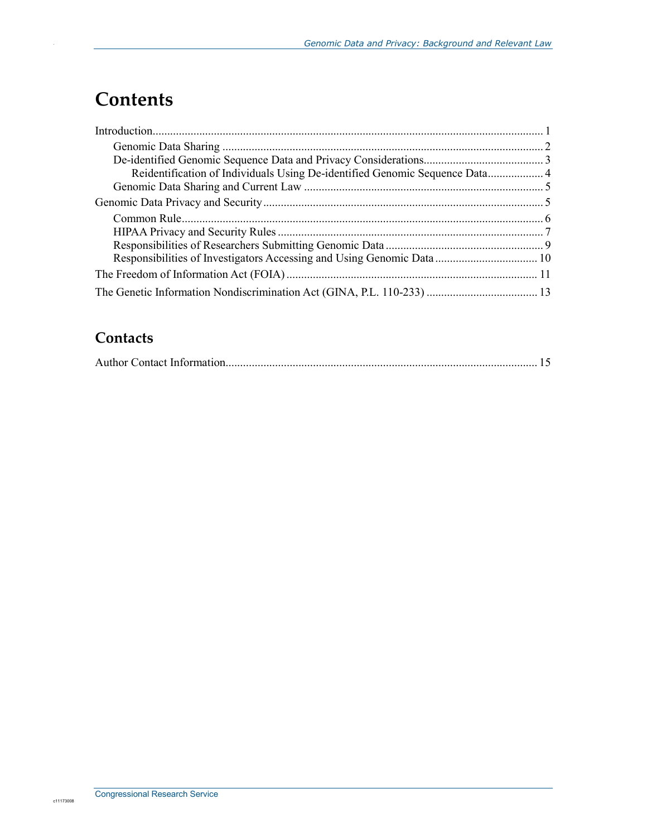# **Contents**

.

| Reidentification of Individuals Using De-identified Genomic Sequence Data 4 |  |
|-----------------------------------------------------------------------------|--|
|                                                                             |  |
|                                                                             |  |
|                                                                             |  |
|                                                                             |  |
|                                                                             |  |
| Responsibilities of Investigators Accessing and Using Genomic Data 10       |  |
|                                                                             |  |
|                                                                             |  |

### **Contacts**

|--|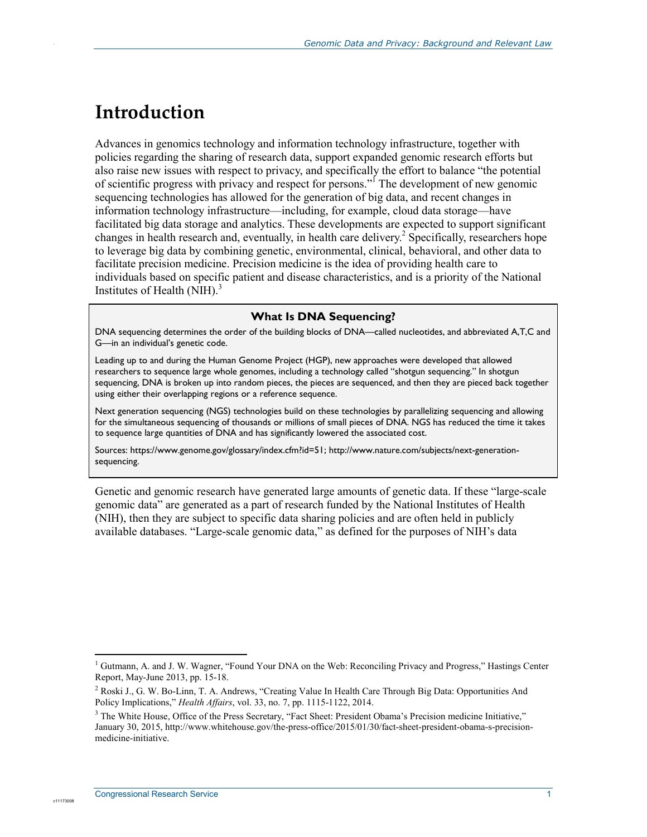### **Introduction**

.

Advances in genomics technology and information technology infrastructure, together with policies regarding the sharing of research data, support expanded genomic research efforts but also raise new issues with respect to privacy, and specifically the effort to balance "the potential of scientific progress with privacy and respect for persons."<sup>I</sup> The development of new genomic sequencing technologies has allowed for the generation of big data, and recent changes in information technology infrastructure—including, for example, cloud data storage—have facilitated big data storage and analytics. These developments are expected to support significant changes in health research and, eventually, in health care delivery.<sup>2</sup> Specifically, researchers hope to leverage big data by combining genetic, environmental, clinical, behavioral, and other data to facilitate precision medicine. Precision medicine is the idea of providing health care to individuals based on specific patient and disease characteristics, and is a priority of the National Institutes of Health  $(NIH).$ <sup>3</sup>

#### **What Is DNA Sequencing?**

DNA sequencing determines the order of the building blocks of DNA—called nucleotides, and abbreviated A,T,C and G—in an individual's genetic code.

Leading up to and during the Human Genome Project (HGP), new approaches were developed that allowed researchers to sequence large whole genomes, including a technology called "shotgun sequencing." In shotgun sequencing, DNA is broken up into random pieces, the pieces are sequenced, and then they are pieced back together using either their overlapping regions or a reference sequence.

Next generation sequencing (NGS) technologies build on these technologies by parallelizing sequencing and allowing for the simultaneous sequencing of thousands or millions of small pieces of DNA. NGS has reduced the time it takes to sequence large quantities of DNA and has significantly lowered the associated cost.

Sources: https://www.genome.gov/glossary/index.cfm?id=51; http://www.nature.com/subjects/next-generationsequencing.

Genetic and genomic research have generated large amounts of genetic data. If these "large-scale genomic data" are generated as a part of research funded by the National Institutes of Health (NIH), then they are subject to specific data sharing policies and are often held in publicly available databases. "Large-scale genomic data," as defined for the purposes of NIH's data

c11173008

<sup>1</sup> <sup>1</sup> Gutmann, A. and J. W. Wagner, "Found Your DNA on the Web: Reconciling Privacy and Progress," Hastings Center Report, May-June 2013, pp. 15-18.

<sup>&</sup>lt;sup>2</sup> Roski J., G. W. Bo-Linn, T. A. Andrews, "Creating Value In Health Care Through Big Data: Opportunities And Policy Implications," *Health Affairs*, vol. 33, no. 7, pp. 1115-1122, 2014.

<sup>&</sup>lt;sup>3</sup> The White House, Office of the Press Secretary, "Fact Sheet: President Obama's Precision medicine Initiative," January 30, 2015, http://www.whitehouse.gov/the-press-office/2015/01/30/fact-sheet-president-obama-s-precisionmedicine-initiative.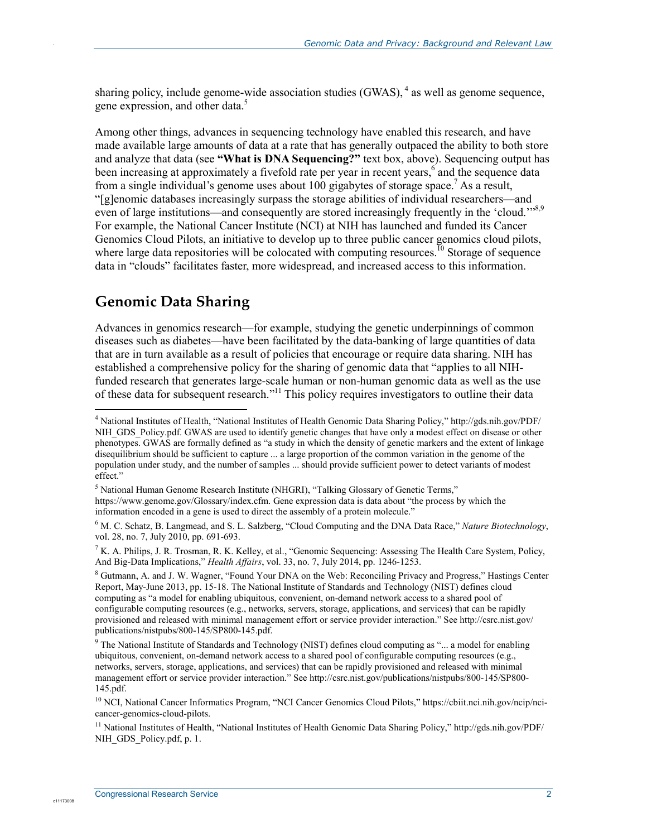sharing policy, include genome-wide association studies  $(GWAS)$ ,  $4$  as well as genome sequence, gene expression, and other data.<sup>5</sup>

Among other things, advances in sequencing technology have enabled this research, and have made available large amounts of data at a rate that has generally outpaced the ability to both store and analyze that data (see **"What is DNA Sequencing?"** text box, above). Sequencing output has been increasing at approximately a fivefold rate per year in recent years,<sup>6</sup> and the sequence data from a single individual's genome uses about 100 gigabytes of storage space.<sup>7</sup> As a result, "[g]enomic databases increasingly surpass the storage abilities of individual researchers—and even of large institutions—and consequently are stored increasingly frequently in the 'cloud.'"8,9 For example, the National Cancer Institute (NCI) at NIH has launched and funded its Cancer Genomics Cloud Pilots, an initiative to develop up to three public cancer genomics cloud pilots, where large data repositories will be colocated with computing resources.<sup>10</sup> Storage of sequence data in "clouds" facilitates faster, more widespread, and increased access to this information.

### **Genomic Data Sharing**

.

Advances in genomics research—for example, studying the genetic underpinnings of common diseases such as diabetes—have been facilitated by the data-banking of large quantities of data that are in turn available as a result of policies that encourage or require data sharing. NIH has established a comprehensive policy for the sharing of genomic data that "applies to all NIHfunded research that generates large-scale human or non-human genomic data as well as the use of these data for subsequent research."<sup>11</sup> This policy requires investigators to outline their data

c1117300

 4 National Institutes of Health, "National Institutes of Health Genomic Data Sharing Policy," http://gds.nih.gov/PDF/ NIH\_GDS\_Policy.pdf. GWAS are used to identify genetic changes that have only a modest effect on disease or other phenotypes. GWAS are formally defined as "a study in which the density of genetic markers and the extent of linkage disequilibrium should be sufficient to capture ... a large proportion of the common variation in the genome of the population under study, and the number of samples ... should provide sufficient power to detect variants of modest effect."

<sup>&</sup>lt;sup>5</sup> National Human Genome Research Institute (NHGRI), "Talking Glossary of Genetic Terms," https://www.genome.gov/Glossary/index.cfm. Gene expression data is data about "the process by which the information encoded in a gene is used to direct the assembly of a protein molecule."

<sup>6</sup> M. C. Schatz, B. Langmead, and S. L. Salzberg, "Cloud Computing and the DNA Data Race," *Nature Biotechnology*, vol. 28, no. 7, July 2010, pp. 691-693.

 $^7$  K. A. Philips, J. R. Trosman, R. K. Kelley, et al., "Genomic Sequencing: Assessing The Health Care System, Policy, And Big-Data Implications," *Health Affairs*, vol. 33, no. 7, July 2014, pp. 1246-1253.

<sup>&</sup>lt;sup>8</sup> Gutmann, A. and J. W. Wagner, "Found Your DNA on the Web: Reconciling Privacy and Progress," Hastings Center Report, May-June 2013, pp. 15-18. The National Institute of Standards and Technology (NIST) defines cloud computing as "a model for enabling ubiquitous, convenient, on-demand network access to a shared pool of configurable computing resources (e.g., networks, servers, storage, applications, and services) that can be rapidly provisioned and released with minimal management effort or service provider interaction." See http://csrc.nist.gov/ publications/nistpubs/800-145/SP800-145.pdf.

<sup>&</sup>lt;sup>9</sup> The National Institute of Standards and Technology (NIST) defines cloud computing as "... a model for enabling ubiquitous, convenient, on-demand network access to a shared pool of configurable computing resources (e.g., networks, servers, storage, applications, and services) that can be rapidly provisioned and released with minimal management effort or service provider interaction." See http://csrc.nist.gov/publications/nistpubs/800-145/SP800- 145.pdf.

<sup>10</sup> NCI, National Cancer Informatics Program, "NCI Cancer Genomics Cloud Pilots," https://cbiit.nci.nih.gov/ncip/ncicancer-genomics-cloud-pilots.

<sup>11</sup> National Institutes of Health, "National Institutes of Health Genomic Data Sharing Policy," http://gds.nih.gov/PDF/ NIH\_GDS\_Policy.pdf, p. 1.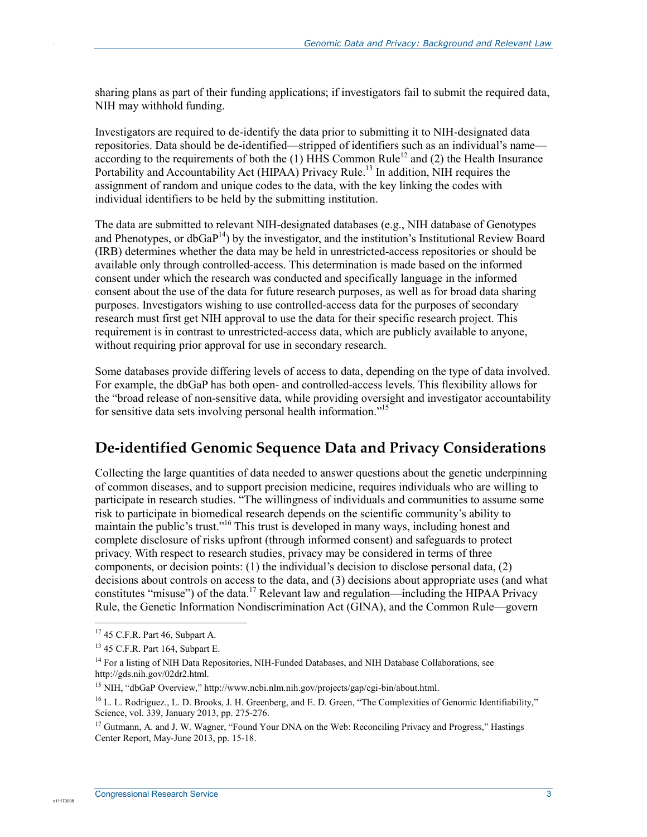sharing plans as part of their funding applications; if investigators fail to submit the required data, NIH may withhold funding.

Investigators are required to de-identify the data prior to submitting it to NIH-designated data repositories. Data should be de-identified—stripped of identifiers such as an individual's name according to the requirements of both the (1) HHS Common Rule<sup>12</sup> and (2) the Health Insurance Portability and Accountability Act (HIPAA) Privacy Rule.<sup>13</sup> In addition, NIH requires the assignment of random and unique codes to the data, with the key linking the codes with individual identifiers to be held by the submitting institution.

The data are submitted to relevant NIH-designated databases (e.g., NIH database of Genotypes and Phenotypes, or db $GaP^{14}$ ) by the investigator, and the institution's Institutional Review Board (IRB) determines whether the data may be held in unrestricted-access repositories or should be available only through controlled-access. This determination is made based on the informed consent under which the research was conducted and specifically language in the informed consent about the use of the data for future research purposes, as well as for broad data sharing purposes. Investigators wishing to use controlled-access data for the purposes of secondary research must first get NIH approval to use the data for their specific research project. This requirement is in contrast to unrestricted-access data, which are publicly available to anyone, without requiring prior approval for use in secondary research.

Some databases provide differing levels of access to data, depending on the type of data involved. For example, the dbGaP has both open- and controlled-access levels. This flexibility allows for the "broad release of non-sensitive data, while providing oversight and investigator accountability for sensitive data sets involving personal health information.<sup>15</sup>

### **De-identified Genomic Sequence Data and Privacy Considerations**

Collecting the large quantities of data needed to answer questions about the genetic underpinning of common diseases, and to support precision medicine, requires individuals who are willing to participate in research studies. "The willingness of individuals and communities to assume some risk to participate in biomedical research depends on the scientific community's ability to maintain the public's trust.<sup>"16</sup> This trust is developed in many ways, including honest and complete disclosure of risks upfront (through informed consent) and safeguards to protect privacy. With respect to research studies, privacy may be considered in terms of three components, or decision points: (1) the individual's decision to disclose personal data, (2) decisions about controls on access to the data, and (3) decisions about appropriate uses (and what constitutes "misuse") of the data.<sup>17</sup> Relevant law and regulation—including the HIPAA Privacy Rule, the Genetic Information Nondiscrimination Act (GINA), and the Common Rule—govern

1

c1117300

 $12$  45 C.F.R. Part 46, Subpart A.

<sup>13 45</sup> C.F.R. Part 164, Subpart E.

<sup>&</sup>lt;sup>14</sup> For a listing of NIH Data Repositories, NIH-Funded Databases, and NIH Database Collaborations, see http://gds.nih.gov/02dr2.html.

<sup>15</sup> NIH, "dbGaP Overview," http://www.ncbi.nlm.nih.gov/projects/gap/cgi-bin/about.html.

<sup>&</sup>lt;sup>16</sup> L. L. Rodriguez., L. D. Brooks, J. H. Greenberg, and E. D. Green, "The Complexities of Genomic Identifiability," Science, vol. 339, January 2013, pp. 275-276.

<sup>&</sup>lt;sup>17</sup> Gutmann, A. and J. W. Wagner, "Found Your DNA on the Web: Reconciling Privacy and Progress," Hastings Center Report, May-June 2013, pp. 15-18.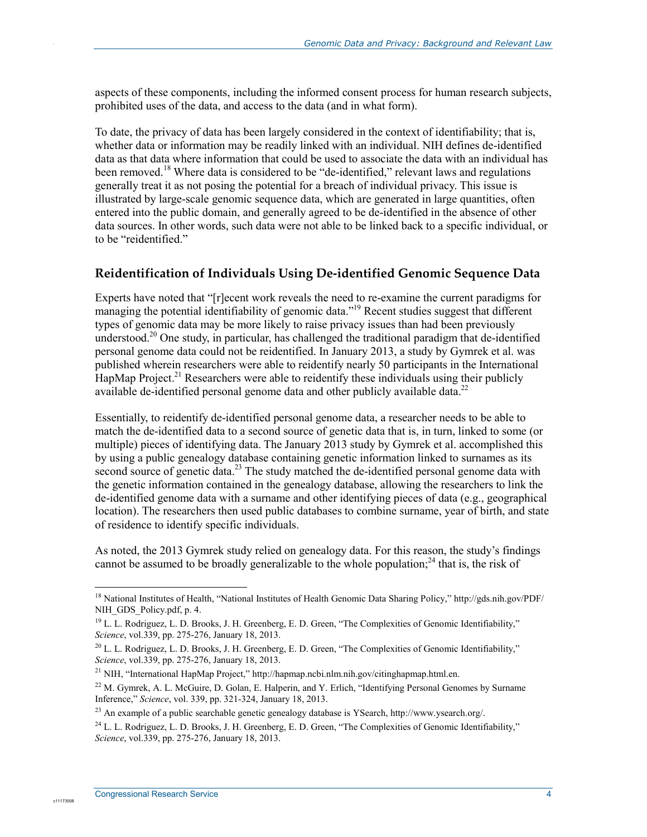aspects of these components, including the informed consent process for human research subjects, prohibited uses of the data, and access to the data (and in what form).

To date, the privacy of data has been largely considered in the context of identifiability; that is, whether data or information may be readily linked with an individual. NIH defines de-identified data as that data where information that could be used to associate the data with an individual has been removed.<sup>18</sup> Where data is considered to be "de-identified," relevant laws and regulations generally treat it as not posing the potential for a breach of individual privacy. This issue is illustrated by large-scale genomic sequence data, which are generated in large quantities, often entered into the public domain, and generally agreed to be de-identified in the absence of other data sources. In other words, such data were not able to be linked back to a specific individual, or to be "reidentified."

#### **Reidentification of Individuals Using De-identified Genomic Sequence Data**

Experts have noted that "[r]ecent work reveals the need to re-examine the current paradigms for managing the potential identifiability of genomic data."<sup>19</sup> Recent studies suggest that different types of genomic data may be more likely to raise privacy issues than had been previously understood.<sup>20</sup> One study, in particular, has challenged the traditional paradigm that de-identified personal genome data could not be reidentified. In January 2013, a study by Gymrek et al. was published wherein researchers were able to reidentify nearly 50 participants in the International HapMap Project.<sup>21</sup> Researchers were able to reidentify these individuals using their publicly available de-identified personal genome data and other publicly available data.<sup>22</sup>

Essentially, to reidentify de-identified personal genome data, a researcher needs to be able to match the de-identified data to a second source of genetic data that is, in turn, linked to some (or multiple) pieces of identifying data. The January 2013 study by Gymrek et al. accomplished this by using a public genealogy database containing genetic information linked to surnames as its second source of genetic data.<sup>23</sup> The study matched the de-identified personal genome data with the genetic information contained in the genealogy database, allowing the researchers to link the de-identified genome data with a surname and other identifying pieces of data (e.g., geographical location). The researchers then used public databases to combine surname, year of birth, and state of residence to identify specific individuals.

As noted, the 2013 Gymrek study relied on genealogy data. For this reason, the study's findings cannot be assumed to be broadly generalizable to the whole population;<sup>24</sup> that is, the risk of

1

c1117300

<sup>18</sup> National Institutes of Health, "National Institutes of Health Genomic Data Sharing Policy," http://gds.nih.gov/PDF/ NIH\_GDS\_Policy.pdf, p. 4.

<sup>&</sup>lt;sup>19</sup> L. L. Rodriguez, L. D. Brooks, J. H. Greenberg, E. D. Green, "The Complexities of Genomic Identifiability," *Science*, vol.339, pp. 275-276, January 18, 2013.

 $^{20}$  L. L. Rodriguez, L. D. Brooks, J. H. Greenberg, E. D. Green, "The Complexities of Genomic Identifiability," *Science*, vol.339, pp. 275-276, January 18, 2013.

<sup>21</sup> NIH, "International HapMap Project," http://hapmap.ncbi.nlm.nih.gov/citinghapmap.html.en.

<sup>&</sup>lt;sup>22</sup> M. Gymrek, A. L. McGuire, D. Golan, E. Halperin, and Y. Erlich, "Identifying Personal Genomes by Surname Inference," *Science*, vol. 339, pp. 321-324, January 18, 2013.

 $^{23}$  An example of a public searchable genetic genealogy database is YSearch, http://www.ysearch.org/.

<sup>&</sup>lt;sup>24</sup> L. L. Rodriguez, L. D. Brooks, J. H. Greenberg, E. D. Green, "The Complexities of Genomic Identifiability," *Science*, vol.339, pp. 275-276, January 18, 2013.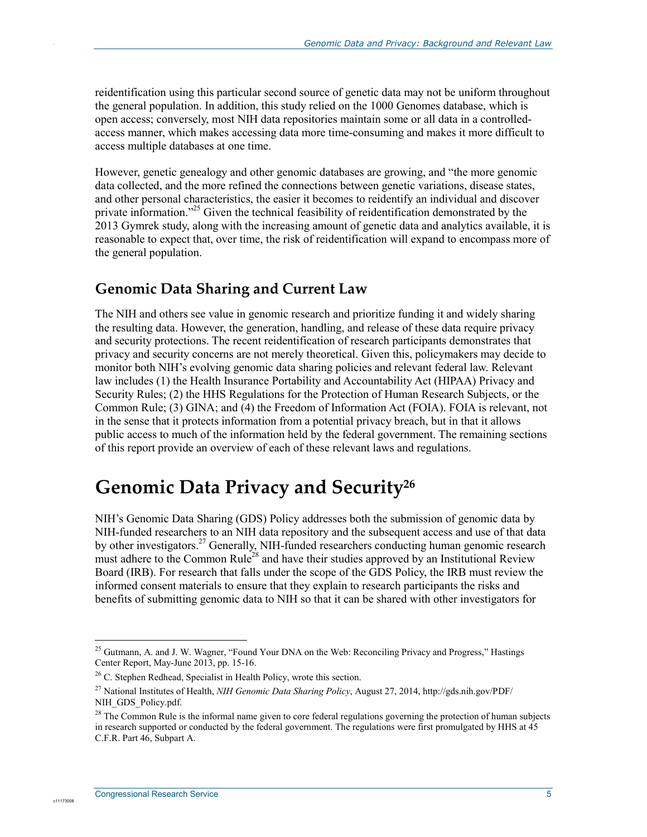reidentification using this particular second source of genetic data may not be uniform throughout the general population. In addition, this study relied on the 1000 Genomes database, which is open access; conversely, most NIH data repositories maintain some or all data in a controlledaccess manner, which makes accessing data more time-consuming and makes it more difficult to access multiple databases at one time.

However, genetic genealogy and other genomic databases are growing, and "the more genomic data collected, and the more refined the connections between genetic variations, disease states, and other personal characteristics, the easier it becomes to reidentify an individual and discover private information."<sup>25</sup> Given the technical feasibility of reidentification demonstrated by the 2013 Gymrek study, along with the increasing amount of genetic data and analytics available, it is reasonable to expect that, over time, the risk of reidentification will expand to encompass more of the general population.

#### **Genomic Data Sharing and Current Law**

The NIH and others see value in genomic research and prioritize funding it and widely sharing the resulting data. However, the generation, handling, and release of these data require privacy and security protections. The recent reidentification of research participants demonstrates that privacy and security concerns are not merely theoretical. Given this, policymakers may decide to monitor both NIH's evolving genomic data sharing policies and relevant federal law. Relevant law includes (1) the Health Insurance Portability and Accountability Act (HIPAA) Privacy and Security Rules; (2) the HHS Regulations for the Protection of Human Research Subjects, or the Common Rule; (3) GINA; and (4) the Freedom of Information Act (FOIA). FOIA is relevant, not in the sense that it protects information from a potential privacy breach, but in that it allows public access to much of the information held by the federal government. The remaining sections of this report provide an overview of each of these relevant laws and regulations.

## **Genomic Data Privacy and Security26**

NIH's Genomic Data Sharing (GDS) Policy addresses both the submission of genomic data by NIH-funded researchers to an NIH data repository and the subsequent access and use of that data by other investigators.<sup>27</sup> Generally, NIH-funded researchers conducting human genomic research must adhere to the Common Rule<sup>28</sup> and have their studies approved by an Institutional Review Board (IRB). For research that falls under the scope of the GDS Policy, the IRB must review the informed consent materials to ensure that they explain to research participants the risks and benefits of submitting genomic data to NIH so that it can be shared with other investigators for

1

c1117300

<sup>&</sup>lt;sup>25</sup> Gutmann, A. and J. W. Wagner, "Found Your DNA on the Web: Reconciling Privacy and Progress," Hastings Center Report, May-June 2013, pp. 15-16.

<sup>&</sup>lt;sup>26</sup> C. Stephen Redhead, Specialist in Health Policy, wrote this section.

<sup>27</sup> National Institutes of Health, *NIH Genomic Data Sharing Policy*, August 27, 2014, http://gds.nih.gov/PDF/ NIH\_GDS\_Policy.pdf.

<sup>&</sup>lt;sup>28</sup> The Common Rule is the informal name given to core federal regulations governing the protection of human subjects in research supported or conducted by the federal government. The regulations were first promulgated by HHS at 45 C.F.R. Part 46, Subpart A.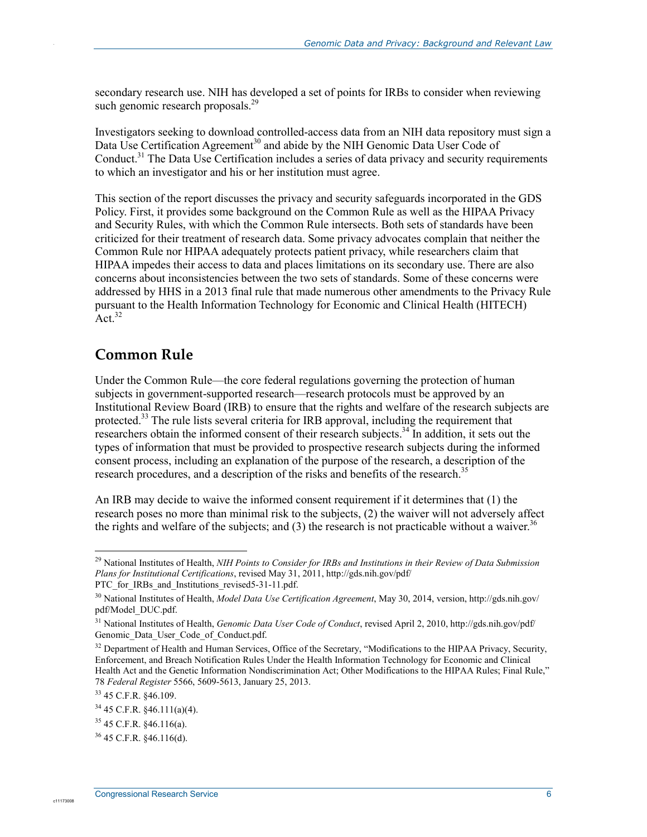secondary research use. NIH has developed a set of points for IRBs to consider when reviewing such genomic research proposals.<sup>29</sup>

Investigators seeking to download controlled-access data from an NIH data repository must sign a Data Use Certification Agreement<sup>30</sup> and abide by the NIH Genomic Data User Code of Conduct.<sup>31</sup> The Data Use Certification includes a series of data privacy and security requirements to which an investigator and his or her institution must agree.

This section of the report discusses the privacy and security safeguards incorporated in the GDS Policy. First, it provides some background on the Common Rule as well as the HIPAA Privacy and Security Rules, with which the Common Rule intersects. Both sets of standards have been criticized for their treatment of research data. Some privacy advocates complain that neither the Common Rule nor HIPAA adequately protects patient privacy, while researchers claim that HIPAA impedes their access to data and places limitations on its secondary use. There are also concerns about inconsistencies between the two sets of standards. Some of these concerns were addressed by HHS in a 2013 final rule that made numerous other amendments to the Privacy Rule pursuant to the Health Information Technology for Economic and Clinical Health (HITECH)  $\rm Act.$ <sup>32</sup>

#### **Common Rule**

Under the Common Rule—the core federal regulations governing the protection of human subjects in government-supported research—research protocols must be approved by an Institutional Review Board (IRB) to ensure that the rights and welfare of the research subjects are protected.<sup>33</sup> The rule lists several criteria for IRB approval, including the requirement that researchers obtain the informed consent of their research subjects.<sup>34</sup> In addition, it sets out the types of information that must be provided to prospective research subjects during the informed consent process, including an explanation of the purpose of the research, a description of the research procedures, and a description of the risks and benefits of the research.<sup>35</sup>

An IRB may decide to waive the informed consent requirement if it determines that (1) the research poses no more than minimal risk to the subjects, (2) the waiver will not adversely affect the rights and welfare of the subjects; and (3) the research is not practicable without a waiver.<sup>36</sup>

1

<sup>29</sup> National Institutes of Health, *NIH Points to Consider for IRBs and Institutions in their Review of Data Submission Plans for Institutional Certifications*, revised May 31, 2011, http://gds.nih.gov/pdf/ PTC for IRBs and Institutions revised5-31-11.pdf.

<sup>30</sup> National Institutes of Health, *Model Data Use Certification Agreement*, May 30, 2014, version, http://gds.nih.gov/ pdf/Model\_DUC.pdf.

<sup>31</sup> National Institutes of Health, *Genomic Data User Code of Conduct*, revised April 2, 2010, http://gds.nih.gov/pdf/ Genomic Data User Code of Conduct.pdf.

<sup>&</sup>lt;sup>32</sup> Department of Health and Human Services, Office of the Secretary, "Modifications to the HIPAA Privacy, Security, Enforcement, and Breach Notification Rules Under the Health Information Technology for Economic and Clinical Health Act and the Genetic Information Nondiscrimination Act; Other Modifications to the HIPAA Rules; Final Rule," 78 *Federal Register* 5566, 5609-5613, January 25, 2013.

<sup>33 45</sup> C.F.R. §46.109.

<sup>34 45</sup> C.F.R. §46.111(a)(4).

 $35$  45 C.F.R.  $$46.116(a)$ .

<sup>36 45</sup> C.F.R. §46.116(d).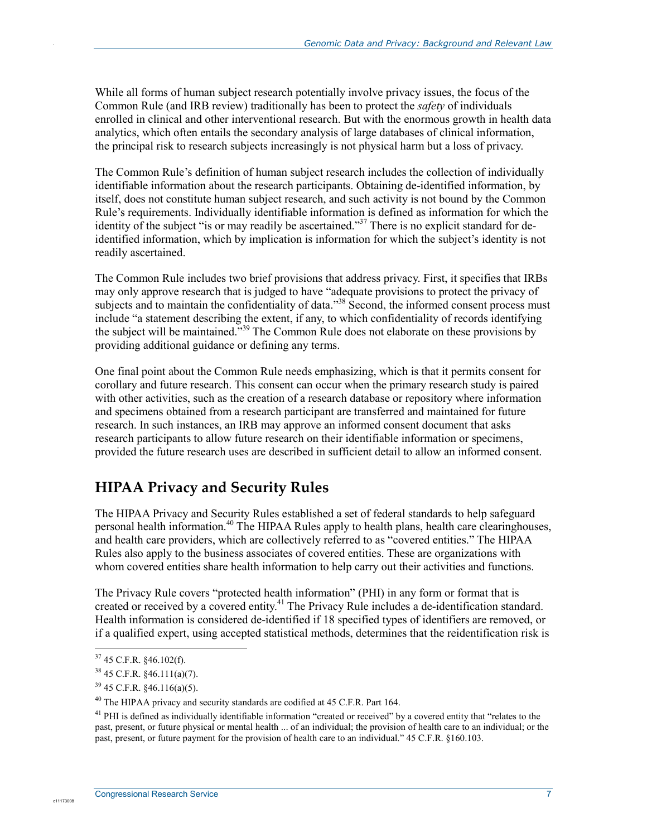While all forms of human subject research potentially involve privacy issues, the focus of the Common Rule (and IRB review) traditionally has been to protect the *safety* of individuals enrolled in clinical and other interventional research. But with the enormous growth in health data analytics, which often entails the secondary analysis of large databases of clinical information, the principal risk to research subjects increasingly is not physical harm but a loss of privacy.

The Common Rule's definition of human subject research includes the collection of individually identifiable information about the research participants. Obtaining de-identified information, by itself, does not constitute human subject research, and such activity is not bound by the Common Rule's requirements. Individually identifiable information is defined as information for which the identity of the subject "is or may readily be ascertained."<sup>37</sup> There is no explicit standard for deidentified information, which by implication is information for which the subject's identity is not readily ascertained.

The Common Rule includes two brief provisions that address privacy. First, it specifies that IRBs may only approve research that is judged to have "adequate provisions to protect the privacy of subjects and to maintain the confidentiality of data."<sup>38</sup> Second, the informed consent process must include "a statement describing the extent, if any, to which confidentiality of records identifying the subject will be maintained."<sup>39</sup> The Common Rule does not elaborate on these provisions by providing additional guidance or defining any terms.

One final point about the Common Rule needs emphasizing, which is that it permits consent for corollary and future research. This consent can occur when the primary research study is paired with other activities, such as the creation of a research database or repository where information and specimens obtained from a research participant are transferred and maintained for future research. In such instances, an IRB may approve an informed consent document that asks research participants to allow future research on their identifiable information or specimens, provided the future research uses are described in sufficient detail to allow an informed consent.

### **HIPAA Privacy and Security Rules**

The HIPAA Privacy and Security Rules established a set of federal standards to help safeguard personal health information.<sup>40</sup> The HIPAA Rules apply to health plans, health care clearinghouses, and health care providers, which are collectively referred to as "covered entities." The HIPAA Rules also apply to the business associates of covered entities. These are organizations with whom covered entities share health information to help carry out their activities and functions.

The Privacy Rule covers "protected health information" (PHI) in any form or format that is created or received by a covered entity.<sup>41</sup> The Privacy Rule includes a de-identification standard. Health information is considered de-identified if 18 specified types of identifiers are removed, or if a qualified expert, using accepted statistical methods, determines that the reidentification risk is

1

c1117300

 $37$  45 C.F.R. §46.102(f).

 $38\,45$  C.F.R.  $§46.111(a)(7)$ .

 $39$  45 C.F.R.  $§$ 46.116(a)(5).

<sup>&</sup>lt;sup>40</sup> The HIPAA privacy and security standards are codified at 45 C.F.R. Part 164.

<sup>&</sup>lt;sup>41</sup> PHI is defined as individually identifiable information "created or received" by a covered entity that "relates to the past, present, or future physical or mental health ... of an individual; the provision of health care to an individual; or the past, present, or future payment for the provision of health care to an individual." 45 C.F.R. §160.103.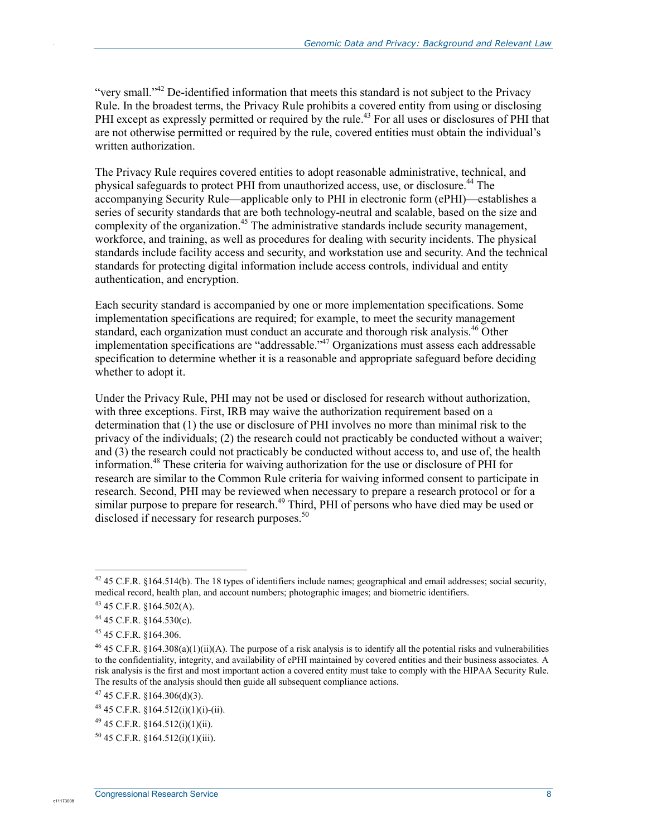"very small."<sup>42</sup> De-identified information that meets this standard is not subject to the Privacy Rule. In the broadest terms, the Privacy Rule prohibits a covered entity from using or disclosing PHI except as expressly permitted or required by the rule.<sup>43</sup> For all uses or disclosures of PHI that are not otherwise permitted or required by the rule, covered entities must obtain the individual's written authorization.

The Privacy Rule requires covered entities to adopt reasonable administrative, technical, and physical safeguards to protect PHI from unauthorized access, use, or disclosure.<sup>44</sup> The accompanying Security Rule—applicable only to PHI in electronic form (ePHI)—establishes a series of security standards that are both technology-neutral and scalable, based on the size and complexity of the organization.<sup>45</sup> The administrative standards include security management, workforce, and training, as well as procedures for dealing with security incidents. The physical standards include facility access and security, and workstation use and security. And the technical standards for protecting digital information include access controls, individual and entity authentication, and encryption.

Each security standard is accompanied by one or more implementation specifications. Some implementation specifications are required; for example, to meet the security management standard, each organization must conduct an accurate and thorough risk analysis.<sup>46</sup> Other implementation specifications are "addressable."47 Organizations must assess each addressable specification to determine whether it is a reasonable and appropriate safeguard before deciding whether to adopt it.

Under the Privacy Rule, PHI may not be used or disclosed for research without authorization, with three exceptions. First, IRB may waive the authorization requirement based on a determination that (1) the use or disclosure of PHI involves no more than minimal risk to the privacy of the individuals; (2) the research could not practicably be conducted without a waiver; and (3) the research could not practicably be conducted without access to, and use of, the health information.<sup>48</sup> These criteria for waiving authorization for the use or disclosure of PHI for research are similar to the Common Rule criteria for waiving informed consent to participate in research. Second, PHI may be reviewed when necessary to prepare a research protocol or for a similar purpose to prepare for research.<sup>49</sup> Third, PHI of persons who have died may be used or disclosed if necessary for research purposes. $50$ 

<u>.</u>

c1117300

<sup>&</sup>lt;sup>42</sup> 45 C.F.R. §164.514(b). The 18 types of identifiers include names; geographical and email addresses; social security, medical record, health plan, and account numbers; photographic images; and biometric identifiers.

<sup>43 45</sup> C.F.R. §164.502(A).

<sup>44 45</sup> C.F.R. §164.530(c).

<sup>45 45</sup> C.F.R. §164.306.

 $46$  45 C.F.R. §164.308(a)(1)(ii)(A). The purpose of a risk analysis is to identify all the potential risks and vulnerabilities to the confidentiality, integrity, and availability of ePHI maintained by covered entities and their business associates. A risk analysis is the first and most important action a covered entity must take to comply with the HIPAA Security Rule. The results of the analysis should then guide all subsequent compliance actions.

 $47$  45 C.F.R. §164.306(d)(3).

<sup>48 45</sup> C.F.R. §164.512(i)(1)(i)-(ii).

<sup>49 45</sup> C.F.R. §164.512(i)(1)(ii).

 $50$  45 C.F.R. §164.512(i)(1)(iii).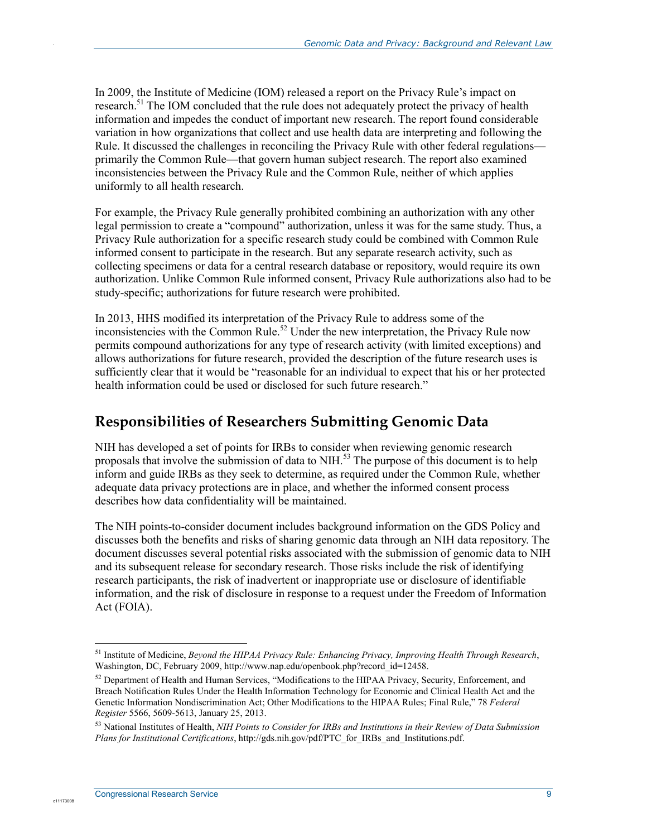In 2009, the Institute of Medicine (IOM) released a report on the Privacy Rule's impact on research.<sup>51</sup> The IOM concluded that the rule does not adequately protect the privacy of health information and impedes the conduct of important new research. The report found considerable variation in how organizations that collect and use health data are interpreting and following the Rule. It discussed the challenges in reconciling the Privacy Rule with other federal regulations primarily the Common Rule—that govern human subject research. The report also examined inconsistencies between the Privacy Rule and the Common Rule, neither of which applies uniformly to all health research.

For example, the Privacy Rule generally prohibited combining an authorization with any other legal permission to create a "compound" authorization, unless it was for the same study. Thus, a Privacy Rule authorization for a specific research study could be combined with Common Rule informed consent to participate in the research. But any separate research activity, such as collecting specimens or data for a central research database or repository, would require its own authorization. Unlike Common Rule informed consent, Privacy Rule authorizations also had to be study-specific; authorizations for future research were prohibited.

In 2013, HHS modified its interpretation of the Privacy Rule to address some of the inconsistencies with the Common Rule.<sup>52</sup> Under the new interpretation, the Privacy Rule now permits compound authorizations for any type of research activity (with limited exceptions) and allows authorizations for future research, provided the description of the future research uses is sufficiently clear that it would be "reasonable for an individual to expect that his or her protected health information could be used or disclosed for such future research."

#### **Responsibilities of Researchers Submitting Genomic Data**

NIH has developed a set of points for IRBs to consider when reviewing genomic research proposals that involve the submission of data to NIH.<sup>53</sup> The purpose of this document is to help inform and guide IRBs as they seek to determine, as required under the Common Rule, whether adequate data privacy protections are in place, and whether the informed consent process describes how data confidentiality will be maintained.

The NIH points-to-consider document includes background information on the GDS Policy and discusses both the benefits and risks of sharing genomic data through an NIH data repository. The document discusses several potential risks associated with the submission of genomic data to NIH and its subsequent release for secondary research. Those risks include the risk of identifying research participants, the risk of inadvertent or inappropriate use or disclosure of identifiable information, and the risk of disclosure in response to a request under the Freedom of Information Act (FOIA).

1

c1117300

<sup>51</sup> Institute of Medicine, *Beyond the HIPAA Privacy Rule: Enhancing Privacy, Improving Health Through Research*, Washington, DC, February 2009, http://www.nap.edu/openbook.php?record\_id=12458.

<sup>&</sup>lt;sup>52</sup> Department of Health and Human Services, "Modifications to the HIPAA Privacy, Security, Enforcement, and Breach Notification Rules Under the Health Information Technology for Economic and Clinical Health Act and the Genetic Information Nondiscrimination Act; Other Modifications to the HIPAA Rules; Final Rule," 78 *Federal Register* 5566, 5609-5613, January 25, 2013.

<sup>53</sup> National Institutes of Health, *NIH Points to Consider for IRBs and Institutions in their Review of Data Submission Plans for Institutional Certifications*, http://gds.nih.gov/pdf/PTC\_for\_IRBs\_and\_Institutions.pdf.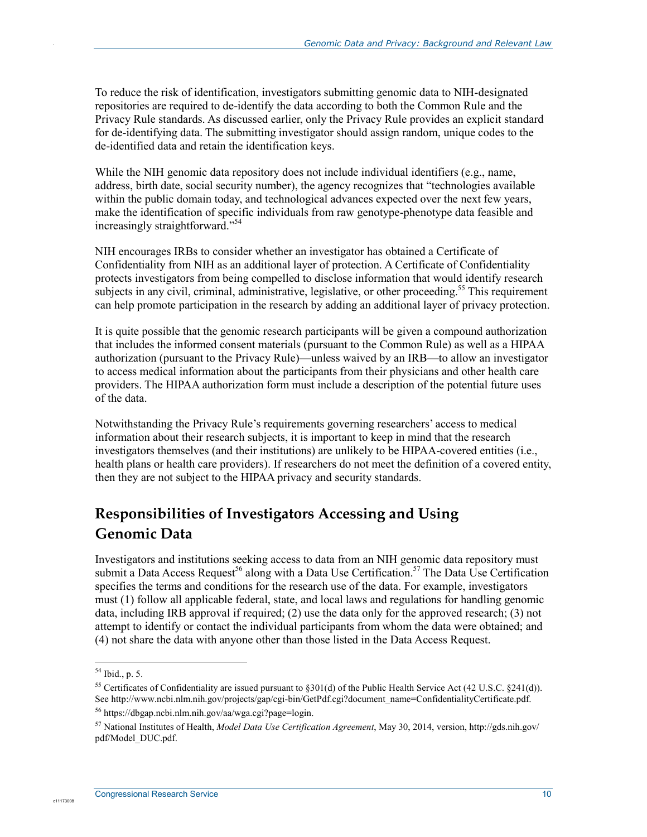To reduce the risk of identification, investigators submitting genomic data to NIH-designated repositories are required to de-identify the data according to both the Common Rule and the Privacy Rule standards. As discussed earlier, only the Privacy Rule provides an explicit standard for de-identifying data. The submitting investigator should assign random, unique codes to the de-identified data and retain the identification keys.

While the NIH genomic data repository does not include individual identifiers (e.g., name, address, birth date, social security number), the agency recognizes that "technologies available within the public domain today, and technological advances expected over the next few years, make the identification of specific individuals from raw genotype-phenotype data feasible and increasingly straightforward."54

NIH encourages IRBs to consider whether an investigator has obtained a Certificate of Confidentiality from NIH as an additional layer of protection. A Certificate of Confidentiality protects investigators from being compelled to disclose information that would identify research subjects in any civil, criminal, administrative, legislative, or other proceeding.<sup>55</sup> This requirement can help promote participation in the research by adding an additional layer of privacy protection.

It is quite possible that the genomic research participants will be given a compound authorization that includes the informed consent materials (pursuant to the Common Rule) as well as a HIPAA authorization (pursuant to the Privacy Rule)—unless waived by an IRB—to allow an investigator to access medical information about the participants from their physicians and other health care providers. The HIPAA authorization form must include a description of the potential future uses of the data.

Notwithstanding the Privacy Rule's requirements governing researchers' access to medical information about their research subjects, it is important to keep in mind that the research investigators themselves (and their institutions) are unlikely to be HIPAA-covered entities (i.e., health plans or health care providers). If researchers do not meet the definition of a covered entity, then they are not subject to the HIPAA privacy and security standards.

### **Responsibilities of Investigators Accessing and Using Genomic Data**

Investigators and institutions seeking access to data from an NIH genomic data repository must submit a Data Access Request<sup>56</sup> along with a Data Use Certification.<sup>57</sup> The Data Use Certification specifies the terms and conditions for the research use of the data. For example, investigators must (1) follow all applicable federal, state, and local laws and regulations for handling genomic data, including IRB approval if required; (2) use the data only for the approved research; (3) not attempt to identify or contact the individual participants from whom the data were obtained; and (4) not share the data with anyone other than those listed in the Data Access Request.

1

c1117300

<sup>54</sup> Ibid., p. 5.

<sup>&</sup>lt;sup>55</sup> Certificates of Confidentiality are issued pursuant to §301(d) of the Public Health Service Act (42 U.S.C. §241(d)). See http://www.ncbi.nlm.nih.gov/projects/gap/cgi-bin/GetPdf.cgi?document\_name=ConfidentialityCertificate.pdf.

<sup>56</sup> https://dbgap.ncbi.nlm.nih.gov/aa/wga.cgi?page=login.

<sup>57</sup> National Institutes of Health, *Model Data Use Certification Agreement*, May 30, 2014, version, http://gds.nih.gov/ pdf/Model\_DUC.pdf.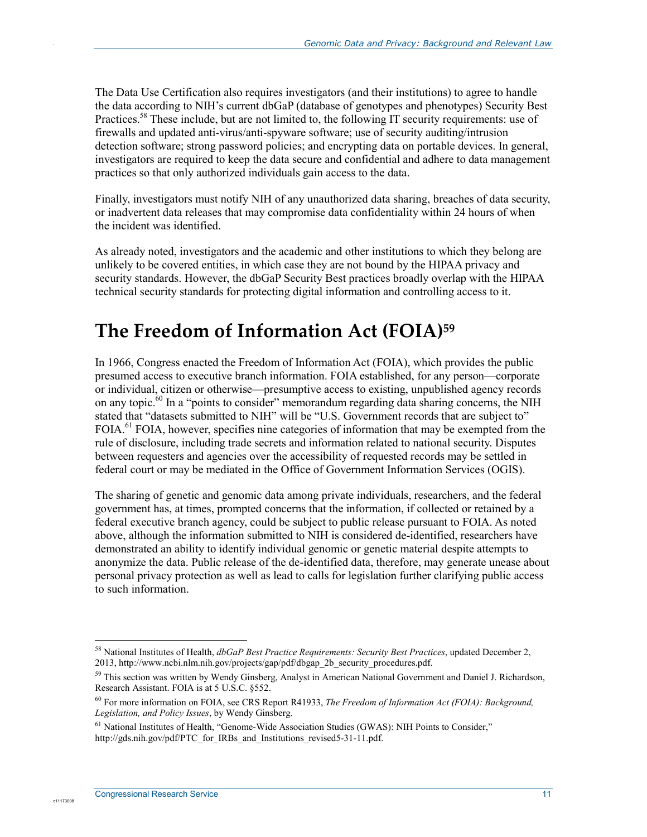The Data Use Certification also requires investigators (and their institutions) to agree to handle the data according to NIH's current dbGaP (database of genotypes and phenotypes) Security Best Practices.<sup>58</sup> These include, but are not limited to, the following IT security requirements: use of firewalls and updated anti-virus/anti-spyware software; use of security auditing/intrusion detection software; strong password policies; and encrypting data on portable devices. In general, investigators are required to keep the data secure and confidential and adhere to data management practices so that only authorized individuals gain access to the data.

Finally, investigators must notify NIH of any unauthorized data sharing, breaches of data security, or inadvertent data releases that may compromise data confidentiality within 24 hours of when the incident was identified.

As already noted, investigators and the academic and other institutions to which they belong are unlikely to be covered entities, in which case they are not bound by the HIPAA privacy and security standards. However, the dbGaP Security Best practices broadly overlap with the HIPAA technical security standards for protecting digital information and controlling access to it.

### **The Freedom of Information Act (FOIA)59**

In 1966, Congress enacted the Freedom of Information Act (FOIA), which provides the public presumed access to executive branch information. FOIA established, for any person—corporate or individual, citizen or otherwise—presumptive access to existing, unpublished agency records on any topic.<sup>60</sup> In a "points to consider" memorandum regarding data sharing concerns, the NIH stated that "datasets submitted to NIH" will be "U.S. Government records that are subject to"  $FOLA<sup>61</sup> FOIA$ , however, specifies nine categories of information that may be exempted from the rule of disclosure, including trade secrets and information related to national security. Disputes between requesters and agencies over the accessibility of requested records may be settled in federal court or may be mediated in the Office of Government Information Services (OGIS).

The sharing of genetic and genomic data among private individuals, researchers, and the federal government has, at times, prompted concerns that the information, if collected or retained by a federal executive branch agency, could be subject to public release pursuant to FOIA. As noted above, although the information submitted to NIH is considered de-identified, researchers have demonstrated an ability to identify individual genomic or genetic material despite attempts to anonymize the data. Public release of the de-identified data, therefore, may generate unease about personal privacy protection as well as lead to calls for legislation further clarifying public access to such information.

1

c1117300

<sup>58</sup> National Institutes of Health, *dbGaP Best Practice Requirements: Security Best Practices*, updated December 2, 2013, http://www.ncbi.nlm.nih.gov/projects/gap/pdf/dbgap\_2b\_security\_procedures.pdf.

<sup>&</sup>lt;sup>59</sup> This section was written by Wendy Ginsberg, Analyst in American National Government and Daniel J. Richardson, Research Assistant. FOIA is at 5 U.S.C. §552.

<sup>60</sup> For more information on FOIA, see CRS Report R41933, *The Freedom of Information Act (FOIA): Background, Legislation, and Policy Issues*, by Wendy Ginsberg.

<sup>&</sup>lt;sup>61</sup> National Institutes of Health, "Genome-Wide Association Studies (GWAS): NIH Points to Consider," http://gds.nih.gov/pdf/PTC\_for\_IRBs\_and\_Institutions\_revised5-31-11.pdf.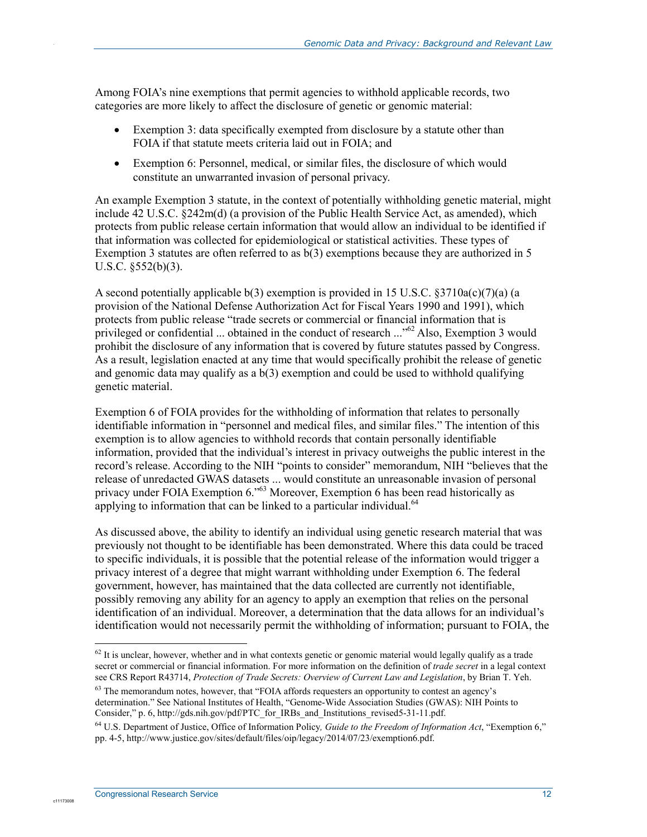Among FOIA's nine exemptions that permit agencies to withhold applicable records, two categories are more likely to affect the disclosure of genetic or genomic material:

- Exemption 3: data specifically exempted from disclosure by a statute other than FOIA if that statute meets criteria laid out in FOIA; and
- Exemption 6: Personnel, medical, or similar files, the disclosure of which would constitute an unwarranted invasion of personal privacy.

An example Exemption 3 statute, in the context of potentially withholding genetic material, might include 42 U.S.C. §242m(d) (a provision of the Public Health Service Act, as amended), which protects from public release certain information that would allow an individual to be identified if that information was collected for epidemiological or statistical activities. These types of Exemption 3 statutes are often referred to as  $b(3)$  exemptions because they are authorized in 5 U.S.C. §552(b)(3).

A second potentially applicable b(3) exemption is provided in 15 U.S.C.  $\S 3710a(c)(7)(a)$  (a provision of the National Defense Authorization Act for Fiscal Years 1990 and 1991), which protects from public release "trade secrets or commercial or financial information that is privileged or confidential ... obtained in the conduct of research ..."<sup>62</sup> Also, Exemption 3 would prohibit the disclosure of any information that is covered by future statutes passed by Congress. As a result, legislation enacted at any time that would specifically prohibit the release of genetic and genomic data may qualify as a b(3) exemption and could be used to withhold qualifying genetic material.

Exemption 6 of FOIA provides for the withholding of information that relates to personally identifiable information in "personnel and medical files, and similar files." The intention of this exemption is to allow agencies to withhold records that contain personally identifiable information, provided that the individual's interest in privacy outweighs the public interest in the record's release. According to the NIH "points to consider" memorandum, NIH "believes that the release of unredacted GWAS datasets ... would constitute an unreasonable invasion of personal privacy under FOIA Exemption 6.<sup>563</sup> Moreover, Exemption 6 has been read historically as applying to information that can be linked to a particular individual. $64$ 

As discussed above, the ability to identify an individual using genetic research material that was previously not thought to be identifiable has been demonstrated. Where this data could be traced to specific individuals, it is possible that the potential release of the information would trigger a privacy interest of a degree that might warrant withholding under Exemption 6. The federal government, however, has maintained that the data collected are currently not identifiable, possibly removing any ability for an agency to apply an exemption that relies on the personal identification of an individual. Moreover, a determination that the data allows for an individual's identification would not necessarily permit the withholding of information; pursuant to FOIA, the

1

c11173008

 $62$  It is unclear, however, whether and in what contexts genetic or genomic material would legally qualify as a trade secret or commercial or financial information. For more information on the definition of *trade secret* in a legal context see CRS Report R43714, *Protection of Trade Secrets: Overview of Current Law and Legislation*, by Brian T. Yeh.

 $63$  The memorandum notes, however, that "FOIA affords requesters an opportunity to contest an agency's determination." See National Institutes of Health, "Genome-Wide Association Studies (GWAS): NIH Points to Consider," p. 6, http://gds.nih.gov/pdf/PTC\_for\_IRBs\_and\_Institutions\_revised5-31-11.pdf.

<sup>64</sup> U.S. Department of Justice, Office of Information Policy*, Guide to the Freedom of Information Act*, "Exemption 6," pp. 4-5, http://www.justice.gov/sites/default/files/oip/legacy/2014/07/23/exemption6.pdf.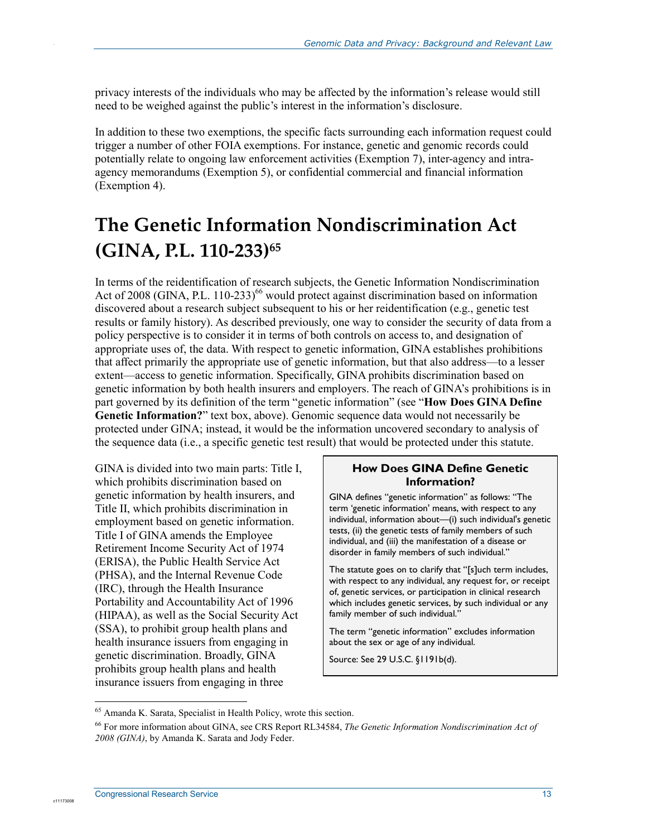privacy interests of the individuals who may be affected by the information's release would still need to be weighed against the public's interest in the information's disclosure.

In addition to these two exemptions, the specific facts surrounding each information request could trigger a number of other FOIA exemptions. For instance, genetic and genomic records could potentially relate to ongoing law enforcement activities (Exemption 7), inter-agency and intraagency memorandums (Exemption 5), or confidential commercial and financial information (Exemption 4).

# **The Genetic Information Nondiscrimination Act (GINA, P.L. 110-233)65**

In terms of the reidentification of research subjects, the Genetic Information Nondiscrimination Act of 2008 (GINA, P.L. 110-233)<sup>66</sup> would protect against discrimination based on information discovered about a research subject subsequent to his or her reidentification (e.g., genetic test results or family history). As described previously, one way to consider the security of data from a policy perspective is to consider it in terms of both controls on access to, and designation of appropriate uses of, the data. With respect to genetic information, GINA establishes prohibitions that affect primarily the appropriate use of genetic information, but that also address—to a lesser extent—access to genetic information. Specifically, GINA prohibits discrimination based on genetic information by both health insurers and employers. The reach of GINA's prohibitions is in part governed by its definition of the term "genetic information" (see "**How Does GINA Define Genetic Information?**" text box, above). Genomic sequence data would not necessarily be protected under GINA; instead, it would be the information uncovered secondary to analysis of the sequence data (i.e., a specific genetic test result) that would be protected under this statute.

GINA is divided into two main parts: Title I, which prohibits discrimination based on genetic information by health insurers, and Title II, which prohibits discrimination in employment based on genetic information. Title I of GINA amends the Employee Retirement Income Security Act of 1974 (ERISA), the Public Health Service Act (PHSA), and the Internal Revenue Code (IRC), through the Health Insurance Portability and Accountability Act of 1996 (HIPAA), as well as the Social Security Act (SSA), to prohibit group health plans and health insurance issuers from engaging in genetic discrimination. Broadly, GINA prohibits group health plans and health insurance issuers from engaging in three

#### **How Does GINA Define Genetic Information?**

GINA defines "genetic information" as follows: "The term 'genetic information' means, with respect to any individual, information about—(i) such individual's genetic tests, (ii) the genetic tests of family members of such individual, and (iii) the manifestation of a disease or disorder in family members of such individual."

The statute goes on to clarify that "[s]uch term includes, with respect to any individual, any request for, or receipt of, genetic services, or participation in clinical research which includes genetic services, by such individual or any family member of such individual.'

The term "genetic information" excludes information about the sex or age of any individual.

Source: See 29 U.S.C. §1191b(d).

1

c11173008

<sup>65</sup> Amanda K. Sarata, Specialist in Health Policy, wrote this section.

<sup>66</sup> For more information about GINA, see CRS Report RL34584, *The Genetic Information Nondiscrimination Act of 2008 (GINA)*, by Amanda K. Sarata and Jody Feder.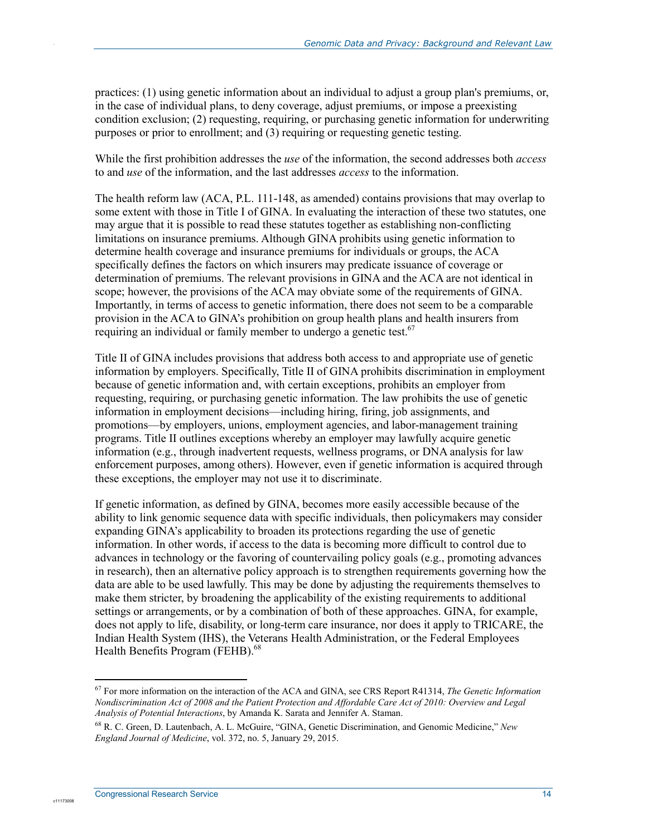practices: (1) using genetic information about an individual to adjust a group plan's premiums, or, in the case of individual plans, to deny coverage, adjust premiums, or impose a preexisting condition exclusion; (2) requesting, requiring, or purchasing genetic information for underwriting purposes or prior to enrollment; and (3) requiring or requesting genetic testing.

While the first prohibition addresses the *use* of the information, the second addresses both *access* to and *use* of the information, and the last addresses *access* to the information.

The health reform law (ACA, P.L. 111-148, as amended) contains provisions that may overlap to some extent with those in Title I of GINA. In evaluating the interaction of these two statutes, one may argue that it is possible to read these statutes together as establishing non-conflicting limitations on insurance premiums. Although GINA prohibits using genetic information to determine health coverage and insurance premiums for individuals or groups, the ACA specifically defines the factors on which insurers may predicate issuance of coverage or determination of premiums. The relevant provisions in GINA and the ACA are not identical in scope; however, the provisions of the ACA may obviate some of the requirements of GINA. Importantly, in terms of access to genetic information, there does not seem to be a comparable provision in the ACA to GINA's prohibition on group health plans and health insurers from requiring an individual or family member to undergo a genetic test.<sup>67</sup>

Title II of GINA includes provisions that address both access to and appropriate use of genetic information by employers. Specifically, Title II of GINA prohibits discrimination in employment because of genetic information and, with certain exceptions, prohibits an employer from requesting, requiring, or purchasing genetic information. The law prohibits the use of genetic information in employment decisions—including hiring, firing, job assignments, and promotions—by employers, unions, employment agencies, and labor-management training programs. Title II outlines exceptions whereby an employer may lawfully acquire genetic information (e.g., through inadvertent requests, wellness programs, or DNA analysis for law enforcement purposes, among others). However, even if genetic information is acquired through these exceptions, the employer may not use it to discriminate.

If genetic information, as defined by GINA, becomes more easily accessible because of the ability to link genomic sequence data with specific individuals, then policymakers may consider expanding GINA's applicability to broaden its protections regarding the use of genetic information. In other words, if access to the data is becoming more difficult to control due to advances in technology or the favoring of countervailing policy goals (e.g., promoting advances in research), then an alternative policy approach is to strengthen requirements governing how the data are able to be used lawfully. This may be done by adjusting the requirements themselves to make them stricter, by broadening the applicability of the existing requirements to additional settings or arrangements, or by a combination of both of these approaches. GINA, for example, does not apply to life, disability, or long-term care insurance, nor does it apply to TRICARE, the Indian Health System (IHS), the Veterans Health Administration, or the Federal Employees Health Benefits Program (FEHB).<sup>68</sup>

1

c11173008

<sup>67</sup> For more information on the interaction of the ACA and GINA, see CRS Report R41314, *The Genetic Information Nondiscrimination Act of 2008 and the Patient Protection and Affordable Care Act of 2010: Overview and Legal Analysis of Potential Interactions*, by Amanda K. Sarata and Jennifer A. Staman.

<sup>68</sup> R. C. Green, D. Lautenbach, A. L. McGuire, "GINA, Genetic Discrimination, and Genomic Medicine," *New England Journal of Medicine*, vol. 372, no. 5, January 29, 2015.